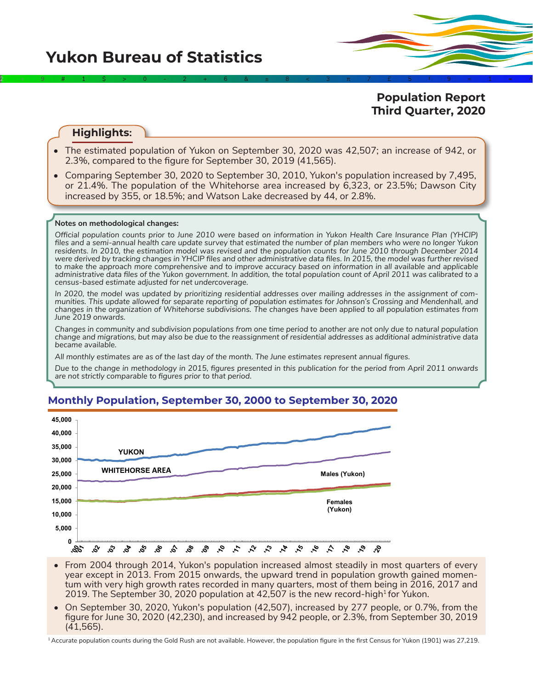**Population Report Third Quarter, 2020**

# **Highlights:**

• The estimated population of Yukon on September 30, 2020 was 42,507; an increase of 942, or 2.3%, compared to the figure for September 30, 2019 (41,565).

2÷9#1\$>0-2+6&±8<3π7£5‡9≈1∞^

• Comparing September 30, 2020 to September 30, 2010, Yukon's population increased by 7,495, or 21.4%. The population of the Whitehorse area increased by 6,323, or 23.5%; Dawson City increased by 355, or 18.5%; and Watson Lake decreased by 44, or 2.8%.

#### **Notes on methodological changes:**

*Official population counts prior to June 2010 were based on information in Yukon Health Care Insurance Plan (YHCIP) files and a semi-annual health care update survey that estimated the number of plan members who were no longer Yukon residents. In 2010, the estimation model was revised and the population counts for June 2010 through December 2014 were derived by tracking changes in YHCIP files and other administrative data files. In 2015, the model was further revised*  to make the approach more comprehensive and to improve accuracy based on information in all available and applicable *administrative data files of the Yukon government. In addition, the total population count of April 2011 was calibrated to a census-based estimate adjusted for net undercoverage.*

*In 2020, the model was updated by prioritizing residential addresses over mailing addresses in the assignment of communities. This update allowed for separate reporting of population estimates for Johnson's Crossing and Mendenhall, and changes in the organization of Whitehorse subdivisions. The changes have been applied to all population estimates from June 2019 onwards.*

*Changes in community and subdivision populations from one time period to another are not only due to natural population change and migrations, but may also be due to the reassignment of residential addresses as additional administrative data became available.*

*All monthly estimates are as of the last day of the month. The June estimates represent annual figures.* 

*Due to the change in methodology in 2015, figures presented in this publication for the period from April 2011 onwards are not strictly comparable to figures prior to that period.* 

## **Monthly Population, September 30, 2000 to September 30, 2020**



- From 2004 through 2014, Yukon's population increased almost steadily in most quarters of every year except in 2013. From 2015 onwards, the upward trend in population growth gained momentum with very high growth rates recorded in many quarters, most of them being in 2016, 2017 and 2019. The September 30, 2020 population at 42,507 is the new record-high<sup>1</sup> for Yukon.
- On September 30, 2020, Yukon's population (42,507), increased by 277 people, or 0.7%, from the figure for June 30, 2020 (42,230), and increased by 942 people, or 2.3%, from September 30, 2019 (41,565).

1 Accurate population counts during the Gold Rush are not available. However, the population figure in the first Census for Yukon (1901) was 27,219.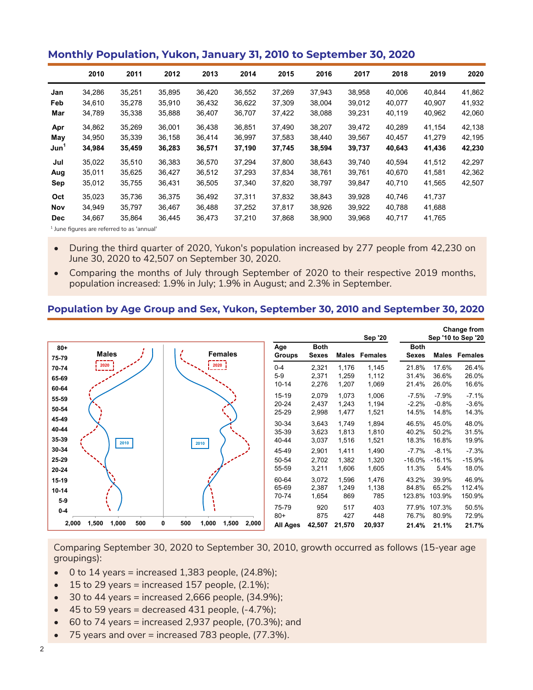|                  |        |        |        |        | $ -$   |        |        |        |        |        |        |
|------------------|--------|--------|--------|--------|--------|--------|--------|--------|--------|--------|--------|
|                  | 2010   | 2011   | 2012   | 2013   | 2014   | 2015   | 2016   | 2017   | 2018   | 2019   | 2020   |
| Jan              | 34,286 | 35,251 | 35,895 | 36.420 | 36,552 | 37,269 | 37,943 | 38,958 | 40,006 | 40,844 | 41,862 |
| Feb              | 34,610 | 35,278 | 35,910 | 36,432 | 36,622 | 37,309 | 38,004 | 39,012 | 40,077 | 40,907 | 41,932 |
| Mar              | 34,789 | 35,338 | 35,888 | 36,407 | 36,707 | 37,422 | 38,088 | 39,231 | 40,119 | 40,962 | 42,060 |
| Apr              | 34,862 | 35,269 | 36.001 | 36.438 | 36.851 | 37.490 | 38,207 | 39.472 | 40.289 | 41.154 | 42,138 |
| May              | 34,950 | 35,339 | 36,158 | 36,414 | 36,997 | 37,583 | 38,440 | 39,567 | 40.457 | 41,279 | 42,195 |
| Jun <sup>1</sup> | 34,984 | 35,459 | 36,283 | 36,571 | 37,190 | 37,745 | 38,594 | 39,737 | 40,643 | 41,436 | 42,230 |
| Jul              | 35,022 | 35,510 | 36,383 | 36.570 | 37.294 | 37,800 | 38,643 | 39.740 | 40.594 | 41,512 | 42,297 |
| Aug              | 35,011 | 35,625 | 36,427 | 36,512 | 37,293 | 37,834 | 38,761 | 39,761 | 40,670 | 41,581 | 42,362 |
| Sep              | 35,012 | 35,755 | 36,431 | 36,505 | 37,340 | 37,820 | 38,797 | 39,847 | 40,710 | 41,565 | 42,507 |
| Oct              | 35,023 | 35,736 | 36,375 | 36,492 | 37,311 | 37,832 | 38,843 | 39,928 | 40.746 | 41,737 |        |
| Nov              | 34.949 | 35.797 | 36.467 | 36.488 | 37,252 | 37,817 | 38,926 | 39.922 | 40.788 | 41,688 |        |
| <b>Dec</b>       | 34,667 | 35,864 | 36,445 | 36,473 | 37,210 | 37,868 | 38,900 | 39,968 | 40,717 | 41,765 |        |

# **Monthly Population, Yukon, January 31, 2010 to September 30, 2020**

<sup>1</sup> June figures are referred to as 'annual'

- During the third quarter of 2020, Yukon's population increased by 277 people from 42,230 on June 30, 2020 to 42,507 on September 30, 2020.
- Comparing the months of July through September of 2020 to their respective 2019 months, population increased: 1.9% in July; 1.9% in August; and 2.3% in September.

## **Population by Age Group and Sex, Yukon, September 30, 2010 and September 30, 2020**

|                         |                       |                                     |                               |                             |                         | <b>Sep '20</b>          |                              |                              | <b>Change from</b><br>Sep '10 to Sep '20 |
|-------------------------|-----------------------|-------------------------------------|-------------------------------|-----------------------------|-------------------------|-------------------------|------------------------------|------------------------------|------------------------------------------|
| $80 +$<br>75-79         | <b>Males</b>          | <b>Females</b>                      | Age<br><b>Groups</b>          | <b>Both</b><br><b>Sexes</b> |                         | Males Females           | <b>Both</b><br><b>Sexes</b>  |                              | <b>Males Females</b>                     |
| 70-74<br>65-69          | 2020                  | 2020                                | $0 - 4$<br>$5-9$<br>$10 - 14$ | 2,321<br>2,371<br>2,276     | 1,176<br>1,259<br>1,207 | 1,145<br>1,112<br>1,069 | 21.8%<br>31.4%<br>21.4%      | 17.6%<br>36.6%<br>26.0%      | 26.4%<br>26.0%<br>16.6%                  |
| 60-64<br>55-59<br>50-54 |                       |                                     | 15-19<br>$20 - 24$            | 2,079<br>2,437              | 1,073<br>1,243          | 1,006<br>1,194          | $-7.5%$<br>$-2.2%$           | $-7.9%$<br>$-0.8%$           | $-7.1%$<br>$-3.6%$                       |
| 45-49<br>40-44          |                       |                                     | 25-29<br>30-34<br>35-39       | 2,998<br>3,643<br>3,623     | 1,477<br>1,749<br>1,813 | 1,521<br>1,894<br>1,810 | 14.5%<br>46.5%<br>40.2%      | 14.8%<br>45.0%<br>50.2%      | 14.3%<br>48.0%<br>31.5%                  |
| 35-39<br>30-34<br>25-29 | 2010                  | 2010                                | 40-44<br>45-49<br>50-54       | 3,037<br>2,901<br>2,702     | 1,516<br>1,411<br>1,382 | 1,521<br>1,490<br>1,320 | 18.3%<br>$-7.7%$<br>$-16.0%$ | 16.8%<br>$-8.1%$<br>$-16.1%$ | 19.9%<br>$-7.3%$<br>$-15.9%$             |
| 20-24<br>15-19          |                       |                                     | 55-59<br>60-64<br>65-69       | 3,211<br>3,072<br>2,387     | 1,606<br>1,596<br>1,249 | 1,605<br>1,476<br>1,138 | 11.3%<br>43.2%<br>84.8%      | 5.4%<br>39.9%<br>65.2%       | 18.0%<br>46.9%<br>112.4%                 |
| $10 - 14$<br>$5-9$      |                       |                                     | 70-74<br>75-79                | 1,654<br>920                | 869<br>517              | 785<br>403              | 123.8%<br>77.9%              | 103.9%<br>107.3%             | 150.9%                                   |
| $0-4$<br>2,000          | 1,500<br>1,000<br>500 | 0<br>500<br>1,000<br>1,500<br>2,000 | $80+$<br>All Ages             | 875<br>42,507               | 427<br>21,570           | 448<br>20,937           | 76.7%<br>21.4%               | 80.9%<br>21.1%               | 50.5%<br>72.9%<br>21.7%                  |

Comparing September 30, 2020 to September 30, 2010, growth occurred as follows (15-year age groupings):

- $\bullet$  0 to 14 years = increased 1,383 people, (24.8%);
- $\bullet$  15 to 29 years = increased 157 people, (2.1%);
- $\bullet$  30 to 44 years = increased 2,666 people, (34.9%);
- $\bullet$  45 to 59 years = decreased 431 people,  $(-4.7\%)$ ;
- $\bullet$  60 to 74 years = increased 2,937 people, (70.3%); and
- 75 years and over = increased 783 people, (77.3%).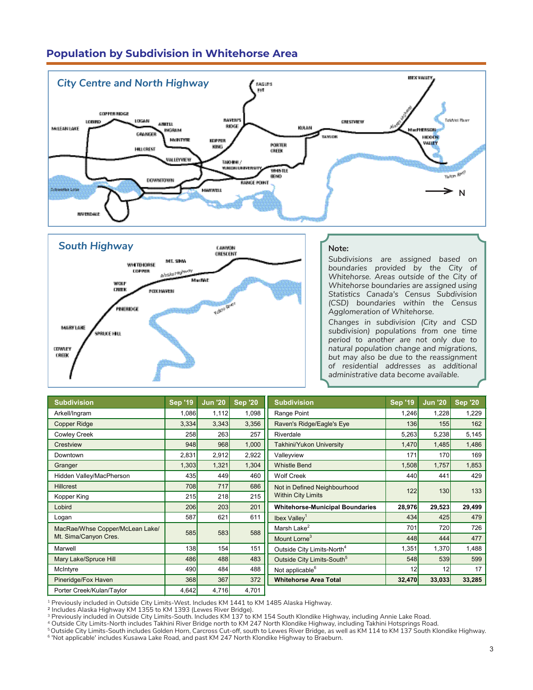# **Population by Subdivision in Whitehorse Area**





### **Note:**

*Subdivisions are assigned based on boundaries provided by the City of Whitehorse. Areas outside of the City of Whitehorse boundaries are assigned using Statistics Canada's Census Subdivision (CSD) boundaries within the Census Agglomeration of Whitehorse.*

*Changes in subdivision (City and CSD subdivision) populations from one time period to another are not only due to natural population change and migrations, but may also be due to the reassignment of residential addresses as additional administrative data become available.* 

| <b>Subdivision</b>              | <b>Sep '19</b> | <b>Jun '20</b> | <b>Sep '20</b> | <b>Subdivision</b>                     | <b>Sep '19</b> | <b>Jun '20</b> | <b>Sep '20</b> |
|---------------------------------|----------------|----------------|----------------|----------------------------------------|----------------|----------------|----------------|
| Arkell/Ingram                   | 1,086          | 1,112          | 1,098          | Range Point                            | 1,246          | 1,228          | 1,229          |
| <b>Copper Ridge</b>             | 3,334          | 3,343          | 3,356          | Raven's Ridge/Eagle's Eye              | 136            | 155            | 162            |
| <b>Cowley Creek</b>             | 258            | 263            | 257            | Riverdale                              | 5,263          | 5,238          | 5,145          |
| Crestview                       | 948            | 968            | 1,000          | <b>Takhini/Yukon University</b>        | 1,470          | 1,485          | 1,486          |
| Downtown                        | 2,831          | 2,912          | 2,922          | Valleyview                             | 171            | 170            | 169            |
| Granger                         | 1,303          | 1,321          | 1,304          | <b>Whistle Bend</b>                    | 1,508          | 1,757          | 1,853          |
| Hidden Valley/MacPherson        | 435            | 449            | 460            | <b>Wolf Creek</b>                      | 440            | 441            | 429            |
| <b>Hillcrest</b>                | 708            | 717            | 686            | Not in Defined Neighbourhood           | 122            | 130            | 133            |
| Kopper King                     | 215            | 218            | 215            | <b>Within City Limits</b>              |                |                |                |
| Lobird                          | 206            | 203            | 201            | <b>Whitehorse-Municipal Boundaries</b> | 28,976         | 29,523         | 29,499         |
| Logan                           | 587            | 621            | 611            | Ibex Valley <sup>1</sup>               | 434            | 425            | 479            |
| MacRae/Whse Copper/McLean Lake/ | 585            | 583            | 588            | Marsh Lake <sup>2</sup>                | 701            | 720            | 726            |
| Mt. Sima/Canyon Cres.           |                |                |                | Mount Lorne <sup>3</sup>               | 448            | 444            | 477            |
| Marwell                         | 138            | 154            | 151            | Outside City Limits-North <sup>4</sup> | 1,351          | 1,370          | 1,488          |
| Mary Lake/Spruce Hill           | 486            | 488            | 483            | Outside City Limits-South <sup>5</sup> | 548            | 539            | 599            |
| McIntyre                        | 490            | 484            | 488            | Not applicable <sup>6</sup>            | 12             | 12             | 17             |
| Pineridge/Fox Haven             | 368            | 367            | 372            | <b>Whitehorse Area Total</b>           | 32,470         | 33,033         | 33,285         |
| Porter Creek/Kulan/Taylor       | 4,642          | 4,716          | 4,701          |                                        |                |                |                |

1 Previously included in Outside City Limits-West. Includes KM 1441 to KM 1485 Alaska Highway.

2 Includes Alaska Highway KM 1355 to KM 1393 (Lewes River Bridge).

<sup>3</sup> Previously included in Outside City Limits-South. Includes KM 137 to KM 154 South Klondike Highway, including Annie Lake Road.

<sup>4</sup> Outside City Limits-North includes Takhini River Bridge north to KM 247 North Klondike Highway, including Takhini Hotsprings Road.

 $^{\rm 5}$ Outside City Limits-South includes Golden Horn, Carcross Cut-off, south to Lewes River Bridge, as well as KM 114 to KM 137 South Klondike Highway. <sup>6</sup> 'Not applicable' includes Kusawa Lake Road, and past KM 247 North Klondike Highway to Braeburn.